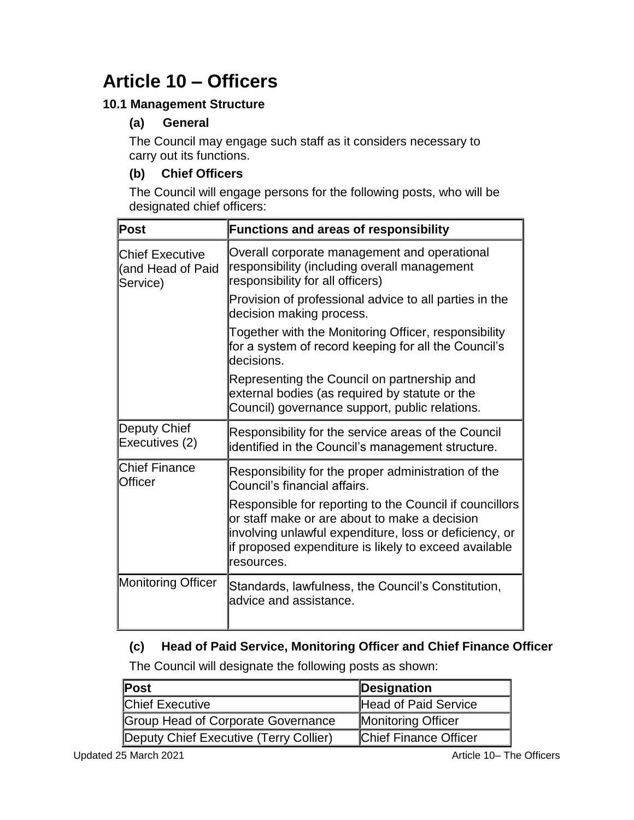# **Article 10 – Officers**

## **10.1 Management Structure**

# **(a) General**

The Council may engage such staff as it considers necessary to carry out its functions.

# **(b) Chief Officers**

The Council will engage persons for the following posts, who will be designated chief officers:

| Post                                                    | <b>Functions and areas of responsibility</b>                                                                                                                                                                                              |
|---------------------------------------------------------|-------------------------------------------------------------------------------------------------------------------------------------------------------------------------------------------------------------------------------------------|
| <b>Chief Executive</b><br>(and Head of Paid<br>Service) | Overall corporate management and operational<br>responsibility (including overall management<br>responsibility for all officers)                                                                                                          |
|                                                         | Provision of professional advice to all parties in the<br>decision making process.                                                                                                                                                        |
|                                                         | Together with the Monitoring Officer, responsibility<br>for a system of record keeping for all the Council's<br>decisions.                                                                                                                |
|                                                         | Representing the Council on partnership and<br>external bodies (as required by statute or the<br>Council) governance support, public relations.                                                                                           |
| Deputy Chief<br>Executives (2)                          | Responsibility for the service areas of the Council<br>identified in the Council's management structure.                                                                                                                                  |
| <b>Chief Finance</b><br>Officer                         | Responsibility for the proper administration of the<br>Council's financial affairs.                                                                                                                                                       |
|                                                         | Responsible for reporting to the Council if councillors<br>or staff make or are about to make a decision<br>involving unlawful expenditure, loss or deficiency, or<br>if proposed expenditure is likely to exceed available<br>resources. |
| <b>Monitoring Officer</b>                               | Standards, lawfulness, the Council's Constitution,<br>advice and assistance.                                                                                                                                                              |

## **(c) Head of Paid Service, Monitoring Officer and Chief Finance Officer**

The Council will designate the following posts as shown:

| Post                                   | Designation                  |
|----------------------------------------|------------------------------|
| <b>Chief Executive</b>                 | Head of Paid Service         |
| Group Head of Corporate Governance     | <b>Monitoring Officer</b>    |
| Deputy Chief Executive (Terry Collier) | <b>Chief Finance Officer</b> |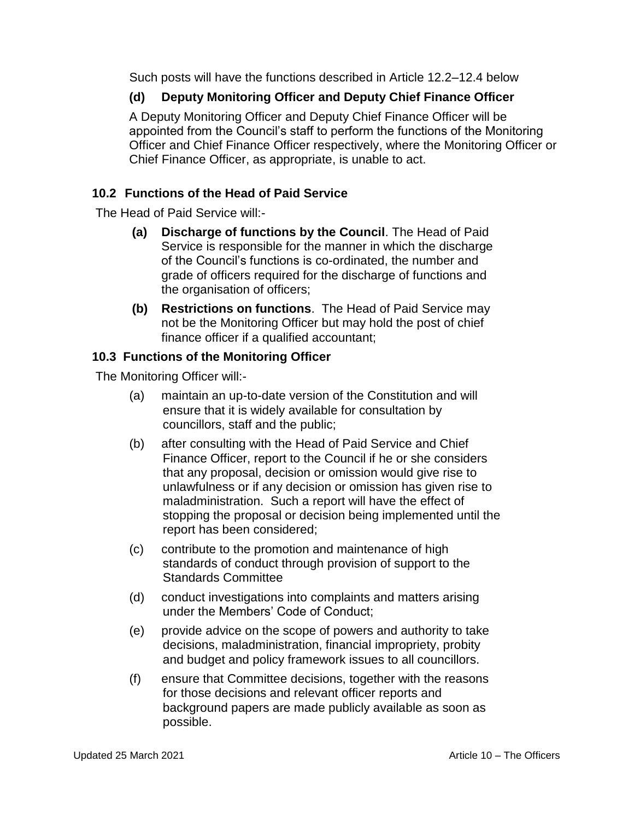Such posts will have the functions described in Article 12.2–12.4 below

## **(d) Deputy Monitoring Officer and Deputy Chief Finance Officer**

A Deputy Monitoring Officer and Deputy Chief Finance Officer will be appointed from the Council's staff to perform the functions of the Monitoring Officer and Chief Finance Officer respectively, where the Monitoring Officer or Chief Finance Officer, as appropriate, is unable to act.

## **10.2 Functions of the Head of Paid Service**

The Head of Paid Service will:-

- **(a) Discharge of functions by the Council**. The Head of Paid Service is responsible for the manner in which the discharge of the Council's functions is co-ordinated, the number and grade of officers required for the discharge of functions and the organisation of officers;
- **(b) Restrictions on functions**. The Head of Paid Service may not be the Monitoring Officer but may hold the post of chief finance officer if a qualified accountant;

#### **10.3 Functions of the Monitoring Officer**

The Monitoring Officer will:-

- (a) maintain an up-to-date version of the Constitution and will ensure that it is widely available for consultation by councillors, staff and the public;
- (b) after consulting with the Head of Paid Service and Chief Finance Officer, report to the Council if he or she considers that any proposal, decision or omission would give rise to unlawfulness or if any decision or omission has given rise to maladministration. Such a report will have the effect of stopping the proposal or decision being implemented until the report has been considered;
- (c) contribute to the promotion and maintenance of high standards of conduct through provision of support to the Standards Committee
- (d) conduct investigations into complaints and matters arising under the Members' Code of Conduct;
- (e) provide advice on the scope of powers and authority to take decisions, maladministration, financial impropriety, probity and budget and policy framework issues to all councillors.
- (f) ensure that Committee decisions, together with the reasons for those decisions and relevant officer reports and background papers are made publicly available as soon as possible.